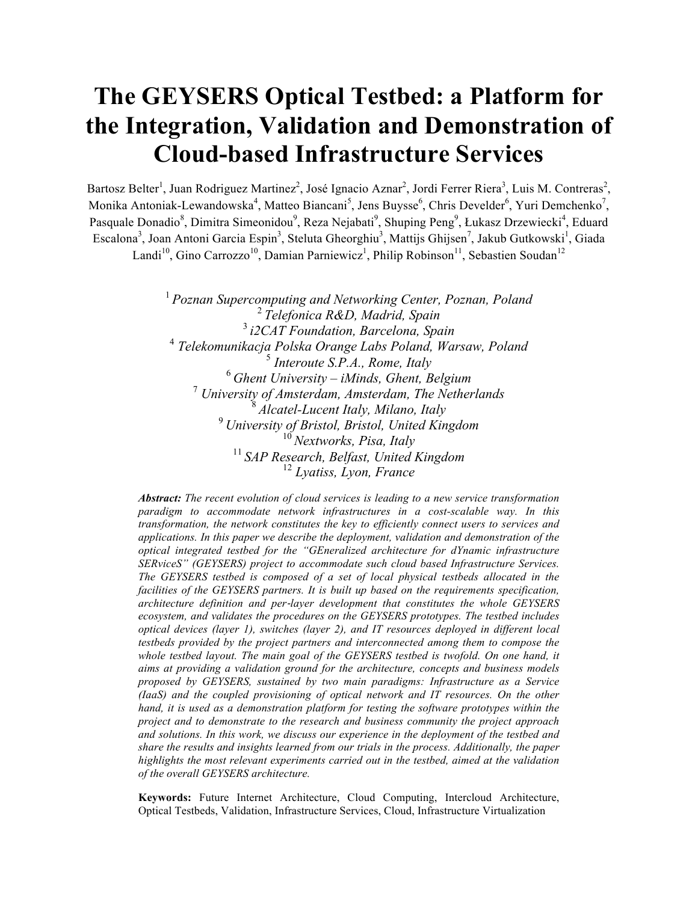# **The GEYSERS Optical Testbed: a Platform for the Integration, Validation and Demonstration of Cloud-based Infrastructure Services**

Bartosz Belter<sup>1</sup>, Juan Rodriguez Martinez<sup>2</sup>, José Ignacio Aznar<sup>2</sup>, Jordi Ferrer Riera<sup>3</sup>, Luis M. Contreras<sup>2</sup>, Monika Antoniak-Lewandowska<sup>4</sup>, Matteo Biancani<sup>5</sup>, Jens Buysse<sup>6</sup>, Chris Develder<sup>6</sup>, Yuri Demchenko<sup>7</sup>, Pasquale Donadio<sup>8</sup>, Dimitra Simeonidou<sup>9</sup>, Reza Nejabati<sup>9</sup>, Shuping Peng<sup>9</sup>, Łukasz Drzewiecki<sup>4</sup>, Eduard Escalona<sup>3</sup>, Joan Antoni Garcia Espin<sup>3</sup>, Steluta Gheorghiu<sup>3</sup>, Mattijs Ghijsen<sup>7</sup>, Jakub Gutkowski<sup>1</sup>, Giada Landi<sup>10</sup>, Gino Carrozzo<sup>10</sup>, Damian Parniewicz<sup>1</sup>, Philip Robinson<sup>11</sup>, Sebastien Soudan<sup>12</sup>

> *Poznan Supercomputing and Networking Center, Poznan, Poland Telefonica R&D, Madrid, Spain i2CAT Foundation, Barcelona, Spain Telekomunikacja Polska Orange Labs Poland, Warsaw, Poland Interoute S.P.A., Rome, Italy Ghent University – iMinds, Ghent, Belgium University of Amsterdam, Amsterdam, The Netherlands Alcatel-Lucent Italy, Milano, Italy University of Bristol, Bristol, United Kingdom Nextworks, Pisa, Italy SAP Research, Belfast, United Kingdom Lyatiss, Lyon, France*

*Abstract: The recent evolution of cloud services is leading to a new service transformation paradigm to accommodate network infrastructures in a cost-scalable way. In this transformation, the network constitutes the key to efficiently connect users to services and applications. In this paper we describe the deployment, validation and demonstration of the optical integrated testbed for the "GEneralized architecture for dYnamic infrastructure SERviceS" (GEYSERS) project to accommodate such cloud based Infrastructure Services. The GEYSERS testbed is composed of a set of local physical testbeds allocated in the facilities of the GEYSERS partners. It is built up based on the requirements specification, architecture definition and per*-*layer development that constitutes the whole GEYSERS ecosystem, and validates the procedures on the GEYSERS prototypes. The testbed includes optical devices (layer 1), switches (layer 2), and IT resources deployed in different local testbeds provided by the project partners and interconnected among them to compose the whole testbed layout. The main goal of the GEYSERS testbed is twofold. On one hand, it aims at providing a validation ground for the architecture, concepts and business models proposed by GEYSERS, sustained by two main paradigms: Infrastructure as a Service (IaaS) and the coupled provisioning of optical network and IT resources. On the other hand, it is used as a demonstration platform for testing the software prototypes within the project and to demonstrate to the research and business community the project approach and solutions. In this work, we discuss our experience in the deployment of the testbed and share the results and insights learned from our trials in the process. Additionally, the paper highlights the most relevant experiments carried out in the testbed, aimed at the validation of the overall GEYSERS architecture.*

**Keywords:** Future Internet Architecture, Cloud Computing, Intercloud Architecture, Optical Testbeds, Validation, Infrastructure Services, Cloud, Infrastructure Virtualization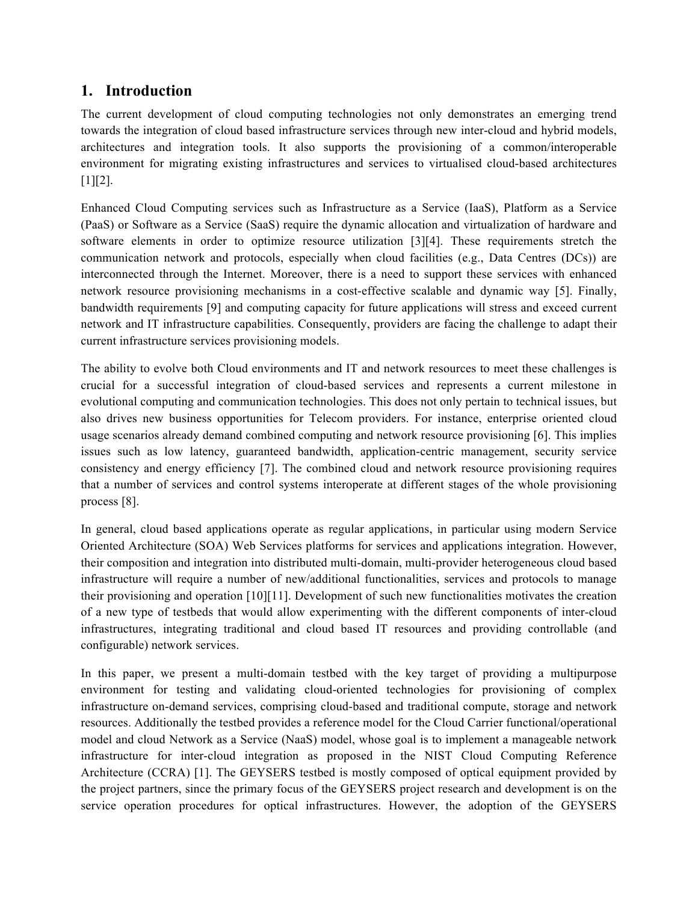# **1. Introduction**

The current development of cloud computing technologies not only demonstrates an emerging trend towards the integration of cloud based infrastructure services through new inter-cloud and hybrid models, architectures and integration tools. It also supports the provisioning of a common/interoperable environment for migrating existing infrastructures and services to virtualised cloud-based architectures [1][2].

Enhanced Cloud Computing services such as Infrastructure as a Service (IaaS), Platform as a Service (PaaS) or Software as a Service (SaaS) require the dynamic allocation and virtualization of hardware and software elements in order to optimize resource utilization [3][4]. These requirements stretch the communication network and protocols, especially when cloud facilities (e.g., Data Centres (DCs)) are interconnected through the Internet. Moreover, there is a need to support these services with enhanced network resource provisioning mechanisms in a cost-effective scalable and dynamic way [5]. Finally, bandwidth requirements [9] and computing capacity for future applications will stress and exceed current network and IT infrastructure capabilities. Consequently, providers are facing the challenge to adapt their current infrastructure services provisioning models.

The ability to evolve both Cloud environments and IT and network resources to meet these challenges is crucial for a successful integration of cloud-based services and represents a current milestone in evolutional computing and communication technologies. This does not only pertain to technical issues, but also drives new business opportunities for Telecom providers. For instance, enterprise oriented cloud usage scenarios already demand combined computing and network resource provisioning [6]. This implies issues such as low latency, guaranteed bandwidth, application-centric management, security service consistency and energy efficiency [7]. The combined cloud and network resource provisioning requires that a number of services and control systems interoperate at different stages of the whole provisioning process [8].

In general, cloud based applications operate as regular applications, in particular using modern Service Oriented Architecture (SOA) Web Services platforms for services and applications integration. However, their composition and integration into distributed multi-domain, multi-provider heterogeneous cloud based infrastructure will require a number of new/additional functionalities, services and protocols to manage their provisioning and operation [10][11]. Development of such new functionalities motivates the creation of a new type of testbeds that would allow experimenting with the different components of inter-cloud infrastructures, integrating traditional and cloud based IT resources and providing controllable (and configurable) network services.

In this paper, we present a multi-domain testbed with the key target of providing a multipurpose environment for testing and validating cloud-oriented technologies for provisioning of complex infrastructure on-demand services, comprising cloud-based and traditional compute, storage and network resources. Additionally the testbed provides a reference model for the Cloud Carrier functional/operational model and cloud Network as a Service (NaaS) model, whose goal is to implement a manageable network infrastructure for inter-cloud integration as proposed in the NIST Cloud Computing Reference Architecture (CCRA) [1]. The GEYSERS testbed is mostly composed of optical equipment provided by the project partners, since the primary focus of the GEYSERS project research and development is on the service operation procedures for optical infrastructures. However, the adoption of the GEYSERS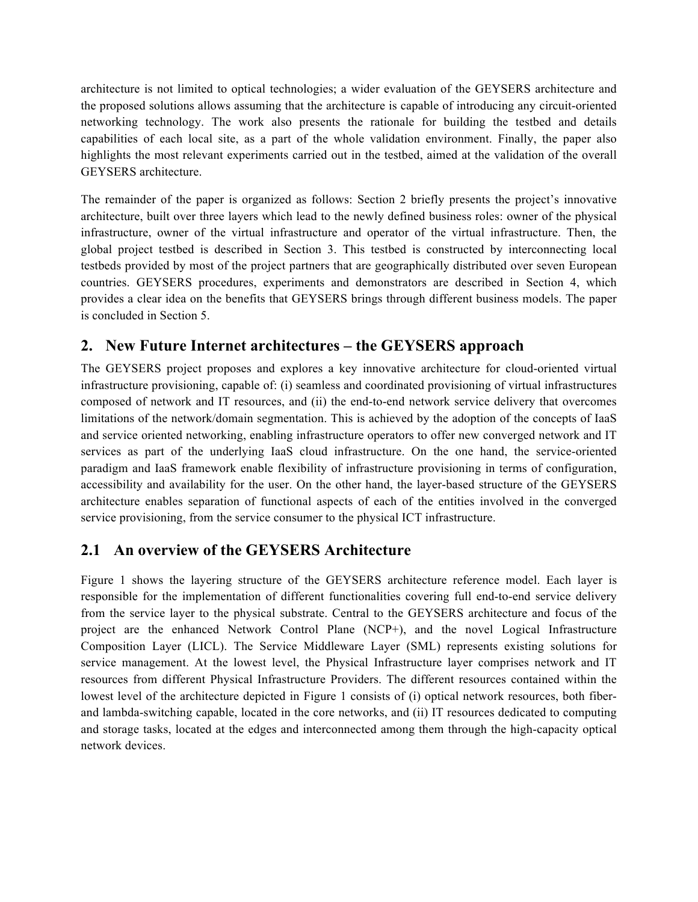architecture is not limited to optical technologies; a wider evaluation of the GEYSERS architecture and the proposed solutions allows assuming that the architecture is capable of introducing any circuit-oriented networking technology. The work also presents the rationale for building the testbed and details capabilities of each local site, as a part of the whole validation environment. Finally, the paper also highlights the most relevant experiments carried out in the testbed, aimed at the validation of the overall GEYSERS architecture.

The remainder of the paper is organized as follows: Section 2 briefly presents the project's innovative architecture, built over three layers which lead to the newly defined business roles: owner of the physical infrastructure, owner of the virtual infrastructure and operator of the virtual infrastructure. Then, the global project testbed is described in Section 3. This testbed is constructed by interconnecting local testbeds provided by most of the project partners that are geographically distributed over seven European countries. GEYSERS procedures, experiments and demonstrators are described in Section 4, which provides a clear idea on the benefits that GEYSERS brings through different business models. The paper is concluded in Section 5.

# **2. New Future Internet architectures – the GEYSERS approach**

The GEYSERS project proposes and explores a key innovative architecture for cloud-oriented virtual infrastructure provisioning, capable of: (i) seamless and coordinated provisioning of virtual infrastructures composed of network and IT resources, and (ii) the end-to-end network service delivery that overcomes limitations of the network/domain segmentation. This is achieved by the adoption of the concepts of IaaS and service oriented networking, enabling infrastructure operators to offer new converged network and IT services as part of the underlying IaaS cloud infrastructure. On the one hand, the service-oriented paradigm and IaaS framework enable flexibility of infrastructure provisioning in terms of configuration, accessibility and availability for the user. On the other hand, the layer-based structure of the GEYSERS architecture enables separation of functional aspects of each of the entities involved in the converged service provisioning, from the service consumer to the physical ICT infrastructure.

# **2.1 An overview of the GEYSERS Architecture**

Figure 1 shows the layering structure of the GEYSERS architecture reference model. Each layer is responsible for the implementation of different functionalities covering full end-to-end service delivery from the service layer to the physical substrate. Central to the GEYSERS architecture and focus of the project are the enhanced Network Control Plane (NCP+), and the novel Logical Infrastructure Composition Layer (LICL). The Service Middleware Layer (SML) represents existing solutions for service management. At the lowest level, the Physical Infrastructure layer comprises network and IT resources from different Physical Infrastructure Providers. The different resources contained within the lowest level of the architecture depicted in Figure 1 consists of (i) optical network resources, both fiberand lambda-switching capable, located in the core networks, and (ii) IT resources dedicated to computing and storage tasks, located at the edges and interconnected among them through the high-capacity optical network devices.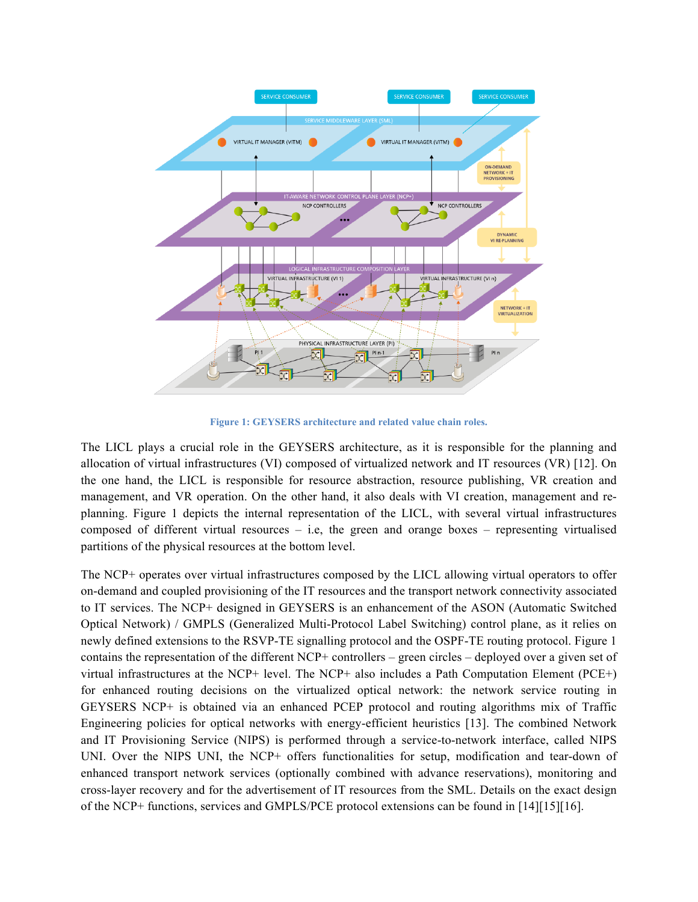

**Figure 1: GEYSERS architecture and related value chain roles.**

The LICL plays a crucial role in the GEYSERS architecture, as it is responsible for the planning and allocation of virtual infrastructures (VI) composed of virtualized network and IT resources (VR) [12]. On the one hand, the LICL is responsible for resource abstraction, resource publishing, VR creation and management, and VR operation. On the other hand, it also deals with VI creation, management and replanning. Figure 1 depicts the internal representation of the LICL, with several virtual infrastructures composed of different virtual resources – i.e, the green and orange boxes – representing virtualised partitions of the physical resources at the bottom level.

The NCP+ operates over virtual infrastructures composed by the LICL allowing virtual operators to offer on-demand and coupled provisioning of the IT resources and the transport network connectivity associated to IT services. The NCP+ designed in GEYSERS is an enhancement of the ASON (Automatic Switched Optical Network) / GMPLS (Generalized Multi-Protocol Label Switching) control plane, as it relies on newly defined extensions to the RSVP-TE signalling protocol and the OSPF-TE routing protocol. Figure 1 contains the representation of the different NCP+ controllers – green circles – deployed over a given set of virtual infrastructures at the NCP+ level. The NCP+ also includes a Path Computation Element (PCE+) for enhanced routing decisions on the virtualized optical network: the network service routing in GEYSERS NCP+ is obtained via an enhanced PCEP protocol and routing algorithms mix of Traffic Engineering policies for optical networks with energy-efficient heuristics [13]. The combined Network and IT Provisioning Service (NIPS) is performed through a service-to-network interface, called NIPS UNI. Over the NIPS UNI, the NCP+ offers functionalities for setup, modification and tear-down of enhanced transport network services (optionally combined with advance reservations), monitoring and cross-layer recovery and for the advertisement of IT resources from the SML. Details on the exact design of the NCP+ functions, services and GMPLS/PCE protocol extensions can be found in [14][15][16].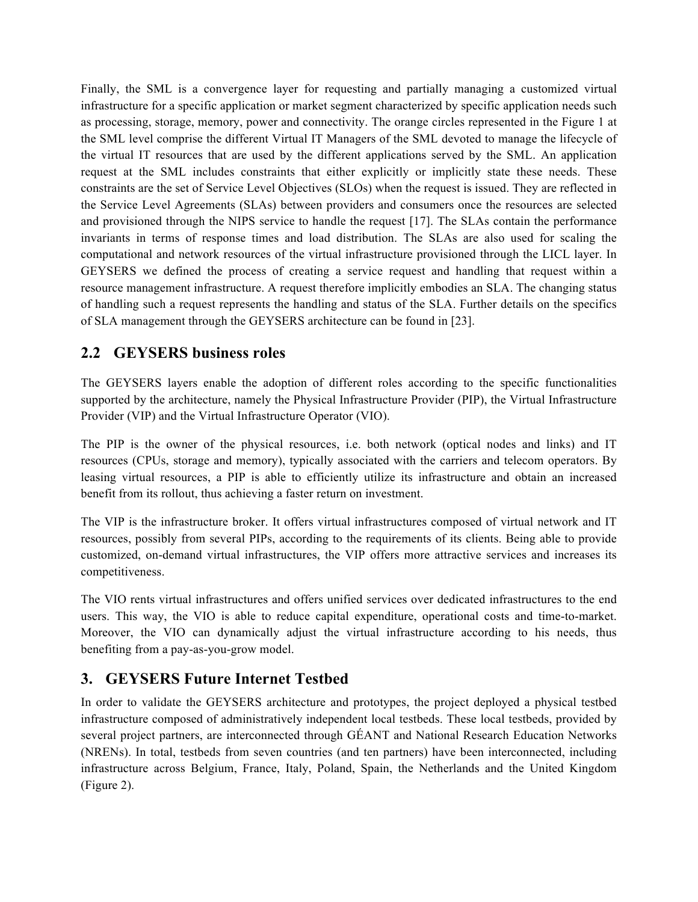Finally, the SML is a convergence layer for requesting and partially managing a customized virtual infrastructure for a specific application or market segment characterized by specific application needs such as processing, storage, memory, power and connectivity. The orange circles represented in the Figure 1 at the SML level comprise the different Virtual IT Managers of the SML devoted to manage the lifecycle of the virtual IT resources that are used by the different applications served by the SML. An application request at the SML includes constraints that either explicitly or implicitly state these needs. These constraints are the set of Service Level Objectives (SLOs) when the request is issued. They are reflected in the Service Level Agreements (SLAs) between providers and consumers once the resources are selected and provisioned through the NIPS service to handle the request [17]. The SLAs contain the performance invariants in terms of response times and load distribution. The SLAs are also used for scaling the computational and network resources of the virtual infrastructure provisioned through the LICL layer. In GEYSERS we defined the process of creating a service request and handling that request within a resource management infrastructure. A request therefore implicitly embodies an SLA. The changing status of handling such a request represents the handling and status of the SLA. Further details on the specifics of SLA management through the GEYSERS architecture can be found in [23].

# **2.2 GEYSERS business roles**

The GEYSERS layers enable the adoption of different roles according to the specific functionalities supported by the architecture, namely the Physical Infrastructure Provider (PIP), the Virtual Infrastructure Provider (VIP) and the Virtual Infrastructure Operator (VIO).

The PIP is the owner of the physical resources, i.e. both network (optical nodes and links) and IT resources (CPUs, storage and memory), typically associated with the carriers and telecom operators. By leasing virtual resources, a PIP is able to efficiently utilize its infrastructure and obtain an increased benefit from its rollout, thus achieving a faster return on investment.

The VIP is the infrastructure broker. It offers virtual infrastructures composed of virtual network and IT resources, possibly from several PIPs, according to the requirements of its clients. Being able to provide customized, on-demand virtual infrastructures, the VIP offers more attractive services and increases its competitiveness.

The VIO rents virtual infrastructures and offers unified services over dedicated infrastructures to the end users. This way, the VIO is able to reduce capital expenditure, operational costs and time-to-market. Moreover, the VIO can dynamically adjust the virtual infrastructure according to his needs, thus benefiting from a pay-as-you-grow model.

# **3. GEYSERS Future Internet Testbed**

In order to validate the GEYSERS architecture and prototypes, the project deployed a physical testbed infrastructure composed of administratively independent local testbeds. These local testbeds, provided by several project partners, are interconnected through GÉANT and National Research Education Networks (NRENs). In total, testbeds from seven countries (and ten partners) have been interconnected, including infrastructure across Belgium, France, Italy, Poland, Spain, the Netherlands and the United Kingdom (Figure 2).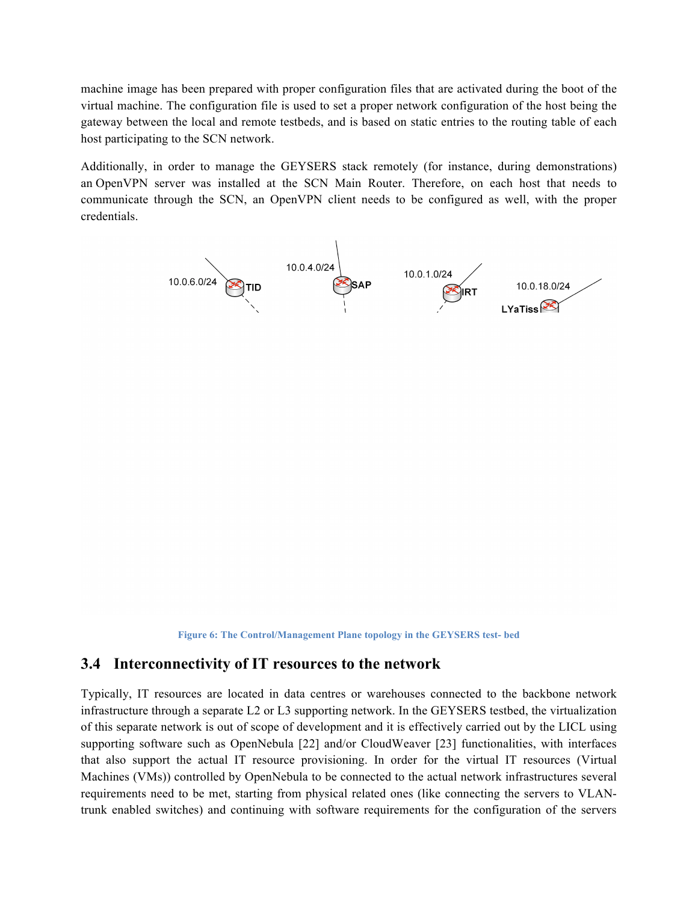machine image has been prepared with proper configuration files that are activated during the boot of the virtual machine. The configuration file is used to set a proper network configuration of the host being the gateway between the local and remote testbeds, and is based on static entries to the routing table of each host participating to the SCN network.

Additionally, in order to manage the GEYSERS stack remotely (for instance, during demonstrations) an OpenVPN server was installed at the SCN Main Router. Therefore, on each host that needs to communicate through the SCN, an OpenVPN client needs to be configured as well, with the proper credentials.

**Figure 6: The Control/Management Plane topology in the GEYSERS test- bed**

#### **3.4 Interconnectivity of IT resources to the network**

Typically, IT resources are located in data centres or warehouses connected to the backbone network infrastructure through a separate L2 or L3 supporting network. In the GEYSERS testbed, the virtualization of this separate network is out of scope of development and it is effectively carried out by the LICL using supporting software such as OpenNebula [22] and/or CloudWeaver [23] functionalities, with interfaces that also support the actual IT resource provisioning. In order for the virtual IT resources (Virtual Machines (VMs)) controlled by OpenNebula to be connected to the actual network infrastructures several requirements need to be met, starting from physical related ones (like connecting the servers to VLANtrunk enabled switches) and continuing with software requirements for the configuration of the servers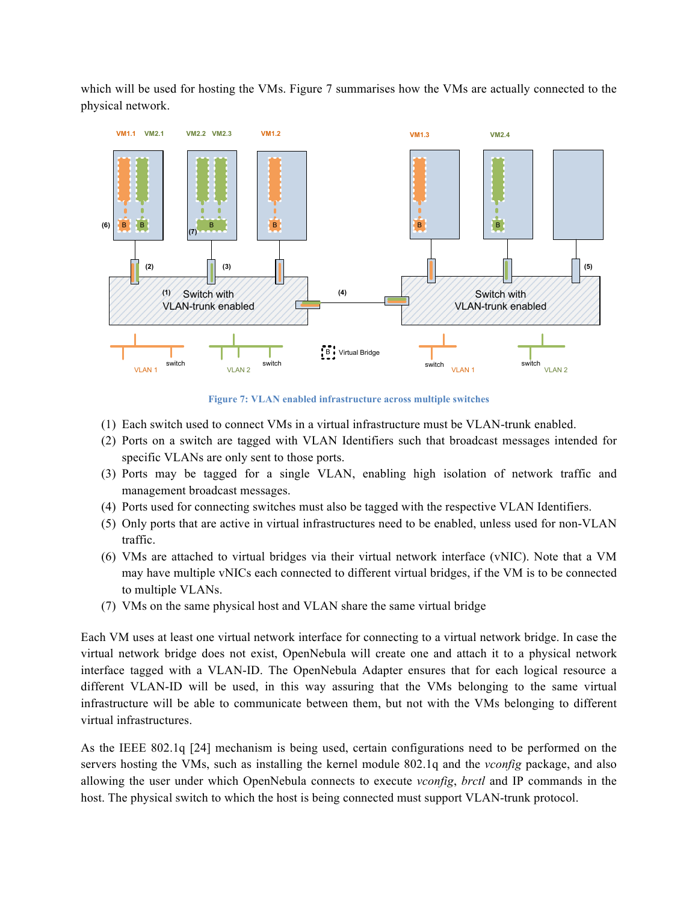which will be used for hosting the VMs. Figure 7 summarises how the VMs are actually connected to the physical network.



**Figure 7: VLAN enabled infrastructure across multiple switches**

- (1) Each switch used to connect VMs in a virtual infrastructure must be VLAN-trunk enabled.
- (2) Ports on a switch are tagged with VLAN Identifiers such that broadcast messages intended for specific VLANs are only sent to those ports.
- (3) Ports may be tagged for a single VLAN, enabling high isolation of network traffic and management broadcast messages.
- (4) Ports used for connecting switches must also be tagged with the respective VLAN Identifiers.
- (5) Only ports that are active in virtual infrastructures need to be enabled, unless used for non-VLAN traffic.
- (6) VMs are attached to virtual bridges via their virtual network interface (vNIC). Note that a VM may have multiple vNICs each connected to different virtual bridges, if the VM is to be connected to multiple VLANs.
- (7) VMs on the same physical host and VLAN share the same virtual bridge

Each VM uses at least one virtual network interface for connecting to a virtual network bridge. In case the virtual network bridge does not exist, OpenNebula will create one and attach it to a physical network interface tagged with a VLAN-ID. The OpenNebula Adapter ensures that for each logical resource a different VLAN-ID will be used, in this way assuring that the VMs belonging to the same virtual infrastructure will be able to communicate between them, but not with the VMs belonging to different virtual infrastructures.

As the IEEE 802.1q [24] mechanism is being used, certain configurations need to be performed on the servers hosting the VMs, such as installing the kernel module 802.1q and the *vconfig* package, and also allowing the user under which OpenNebula connects to execute *vconfig*, *brctl* and IP commands in the host. The physical switch to which the host is being connected must support VLAN-trunk protocol.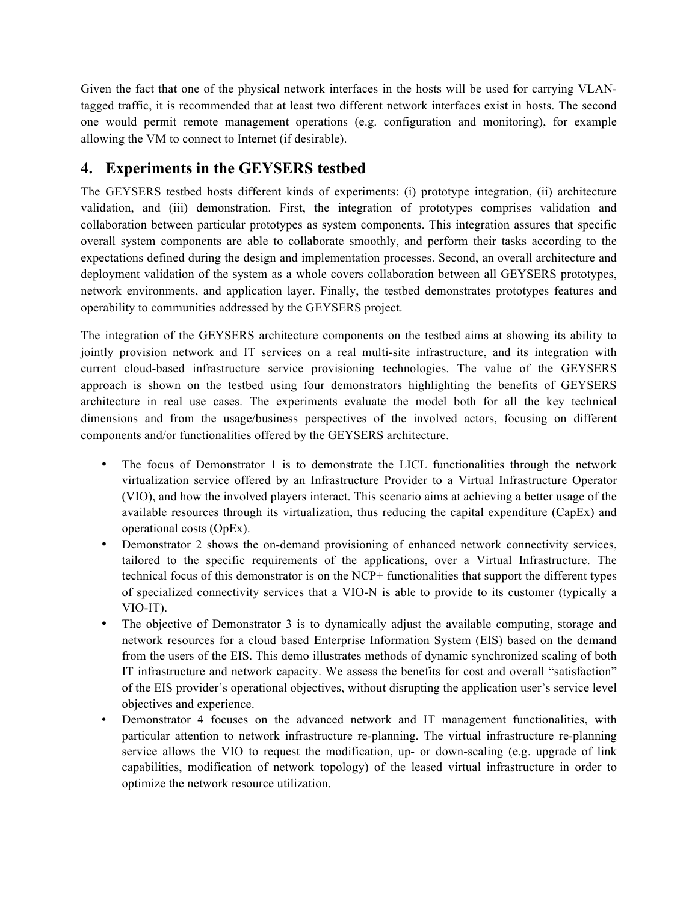Given the fact that one of the physical network interfaces in the hosts will be used for carrying VLANtagged traffic, it is recommended that at least two different network interfaces exist in hosts. The second one would permit remote management operations (e.g. configuration and monitoring), for example allowing the VM to connect to Internet (if desirable).

# **4. Experiments in the GEYSERS testbed**

The GEYSERS testbed hosts different kinds of experiments: (i) prototype integration, (ii) architecture validation, and (iii) demonstration. First, the integration of prototypes comprises validation and collaboration between particular prototypes as system components. This integration assures that specific overall system components are able to collaborate smoothly, and perform their tasks according to the expectations defined during the design and implementation processes. Second, an overall architecture and deployment validation of the system as a whole covers collaboration between all GEYSERS prototypes, network environments, and application layer. Finally, the testbed demonstrates prototypes features and operability to communities addressed by the GEYSERS project.

The integration of the GEYSERS architecture components on the testbed aims at showing its ability to jointly provision network and IT services on a real multi-site infrastructure, and its integration with current cloud-based infrastructure service provisioning technologies. The value of the GEYSERS approach is shown on the testbed using four demonstrators highlighting the benefits of GEYSERS architecture in real use cases. The experiments evaluate the model both for all the key technical dimensions and from the usage/business perspectives of the involved actors, focusing on different components and/or functionalities offered by the GEYSERS architecture.

- The focus of Demonstrator 1 is to demonstrate the LICL functionalities through the network virtualization service offered by an Infrastructure Provider to a Virtual Infrastructure Operator (VIO), and how the involved players interact. This scenario aims at achieving a better usage of the available resources through its virtualization, thus reducing the capital expenditure (CapEx) and operational costs (OpEx).
- Demonstrator 2 shows the on-demand provisioning of enhanced network connectivity services, tailored to the specific requirements of the applications, over a Virtual Infrastructure. The technical focus of this demonstrator is on the NCP+ functionalities that support the different types of specialized connectivity services that a VIO-N is able to provide to its customer (typically a VIO-IT).
- The objective of Demonstrator 3 is to dynamically adjust the available computing, storage and network resources for a cloud based Enterprise Information System (EIS) based on the demand from the users of the EIS. This demo illustrates methods of dynamic synchronized scaling of both IT infrastructure and network capacity. We assess the benefits for cost and overall "satisfaction" of the EIS provider's operational objectives, without disrupting the application user's service level objectives and experience.
- Demonstrator 4 focuses on the advanced network and IT management functionalities, with particular attention to network infrastructure re-planning. The virtual infrastructure re-planning service allows the VIO to request the modification, up- or down-scaling (e.g. upgrade of link capabilities, modification of network topology) of the leased virtual infrastructure in order to optimize the network resource utilization.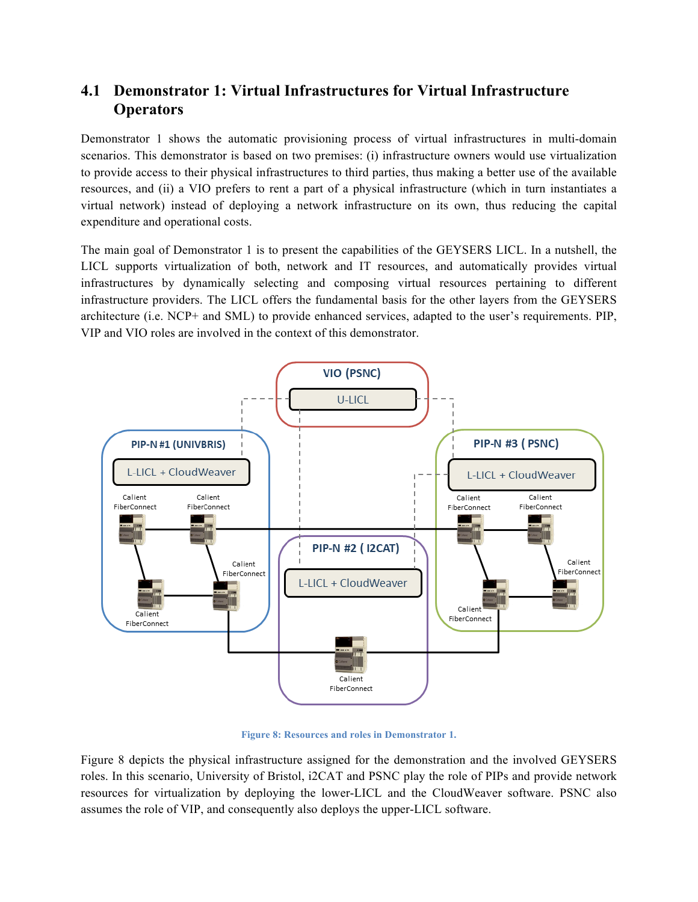# **4.1 Demonstrator 1: Virtual Infrastructures for Virtual Infrastructure Operators**

Demonstrator 1 shows the automatic provisioning process of virtual infrastructures in multi-domain scenarios. This demonstrator is based on two premises: (i) infrastructure owners would use virtualization to provide access to their physical infrastructures to third parties, thus making a better use of the available resources, and (ii) a VIO prefers to rent a part of a physical infrastructure (which in turn instantiates a virtual network) instead of deploying a network infrastructure on its own, thus reducing the capital expenditure and operational costs.

The main goal of Demonstrator 1 is to present the capabilities of the GEYSERS LICL. In a nutshell, the LICL supports virtualization of both, network and IT resources, and automatically provides virtual infrastructures by dynamically selecting and composing virtual resources pertaining to different infrastructure providers. The LICL offers the fundamental basis for the other layers from the GEYSERS architecture (i.e. NCP+ and SML) to provide enhanced services, adapted to the user's requirements. PIP, VIP and VIO roles are involved in the context of this demonstrator.



**Figure 8: Resources and roles in Demonstrator 1.**

Figure 8 depicts the physical infrastructure assigned for the demonstration and the involved GEYSERS roles. In this scenario, University of Bristol, i2CAT and PSNC play the role of PIPs and provide network resources for virtualization by deploying the lower-LICL and the CloudWeaver software. PSNC also assumes the role of VIP, and consequently also deploys the upper-LICL software.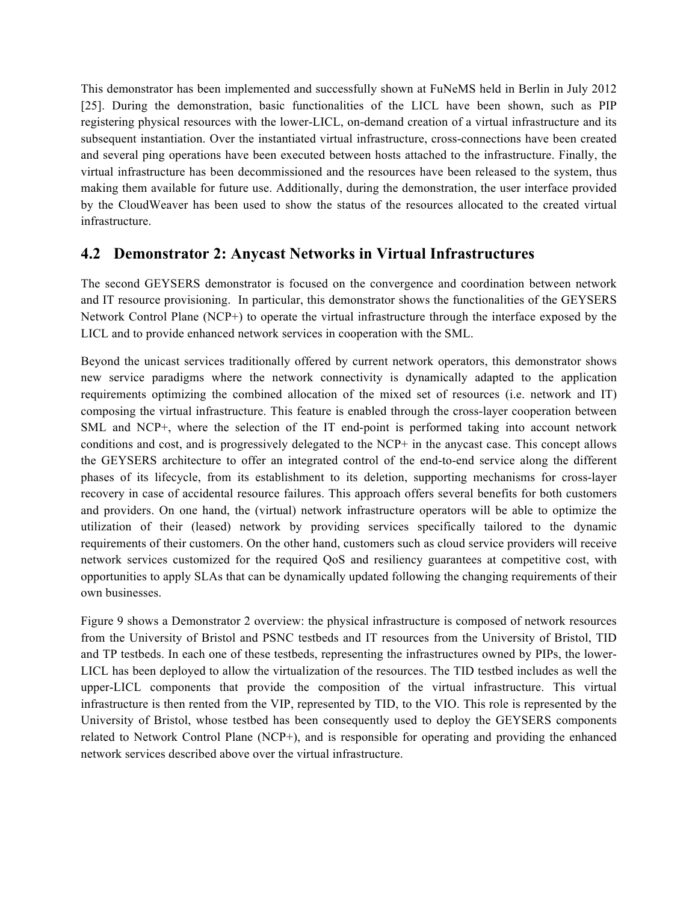This demonstrator has been implemented and successfully shown at FuNeMS held in Berlin in July 2012 [25]. During the demonstration, basic functionalities of the LICL have been shown, such as PIP registering physical resources with the lower-LICL, on-demand creation of a virtual infrastructure and its subsequent instantiation. Over the instantiated virtual infrastructure, cross-connections have been created and several ping operations have been executed between hosts attached to the infrastructure. Finally, the virtual infrastructure has been decommissioned and the resources have been released to the system, thus making them available for future use. Additionally, during the demonstration, the user interface provided by the CloudWeaver has been used to show the status of the resources allocated to the created virtual infrastructure.

## **4.2 Demonstrator 2: Anycast Networks in Virtual Infrastructures**

The second GEYSERS demonstrator is focused on the convergence and coordination between network and IT resource provisioning. In particular, this demonstrator shows the functionalities of the GEYSERS Network Control Plane (NCP+) to operate the virtual infrastructure through the interface exposed by the LICL and to provide enhanced network services in cooperation with the SML.

Beyond the unicast services traditionally offered by current network operators, this demonstrator shows new service paradigms where the network connectivity is dynamically adapted to the application requirements optimizing the combined allocation of the mixed set of resources (i.e. network and IT) composing the virtual infrastructure. This feature is enabled through the cross-layer cooperation between SML and NCP+, where the selection of the IT end-point is performed taking into account network conditions and cost, and is progressively delegated to the NCP+ in the anycast case. This concept allows the GEYSERS architecture to offer an integrated control of the end-to-end service along the different phases of its lifecycle, from its establishment to its deletion, supporting mechanisms for cross-layer recovery in case of accidental resource failures. This approach offers several benefits for both customers and providers. On one hand, the (virtual) network infrastructure operators will be able to optimize the utilization of their (leased) network by providing services specifically tailored to the dynamic requirements of their customers. On the other hand, customers such as cloud service providers will receive network services customized for the required QoS and resiliency guarantees at competitive cost, with opportunities to apply SLAs that can be dynamically updated following the changing requirements of their own businesses.

Figure 9 shows a Demonstrator 2 overview: the physical infrastructure is composed of network resources from the University of Bristol and PSNC testbeds and IT resources from the University of Bristol, TID and TP testbeds. In each one of these testbeds, representing the infrastructures owned by PIPs, the lower-LICL has been deployed to allow the virtualization of the resources. The TID testbed includes as well the upper-LICL components that provide the composition of the virtual infrastructure. This virtual infrastructure is then rented from the VIP, represented by TID, to the VIO. This role is represented by the University of Bristol, whose testbed has been consequently used to deploy the GEYSERS components related to Network Control Plane (NCP+), and is responsible for operating and providing the enhanced network services described above over the virtual infrastructure.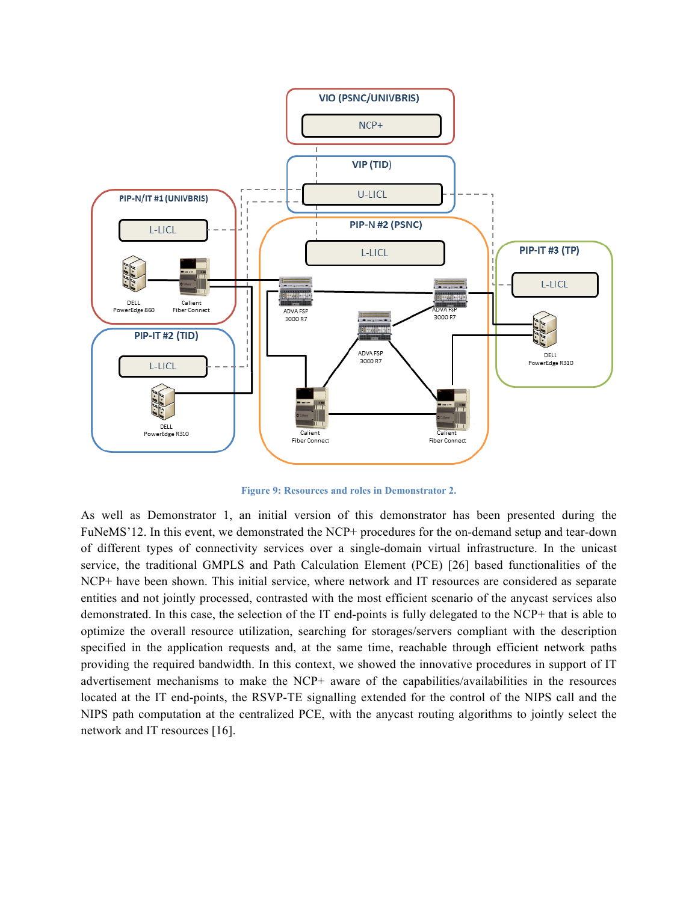

**Figure 9: Resources and roles in Demonstrator 2.**

As well as Demonstrator 1, an initial version of this demonstrator has been presented during the FuNeMS'12. In this event, we demonstrated the NCP+ procedures for the on-demand setup and tear-down of different types of connectivity services over a single-domain virtual infrastructure. In the unicast service, the traditional GMPLS and Path Calculation Element (PCE) [26] based functionalities of the NCP+ have been shown. This initial service, where network and IT resources are considered as separate entities and not jointly processed, contrasted with the most efficient scenario of the anycast services also demonstrated. In this case, the selection of the IT end-points is fully delegated to the NCP+ that is able to optimize the overall resource utilization, searching for storages/servers compliant with the description specified in the application requests and, at the same time, reachable through efficient network paths providing the required bandwidth. In this context, we showed the innovative procedures in support of IT advertisement mechanisms to make the NCP+ aware of the capabilities/availabilities in the resources located at the IT end-points, the RSVP-TE signalling extended for the control of the NIPS call and the NIPS path computation at the centralized PCE, with the anycast routing algorithms to jointly select the network and IT resources [16].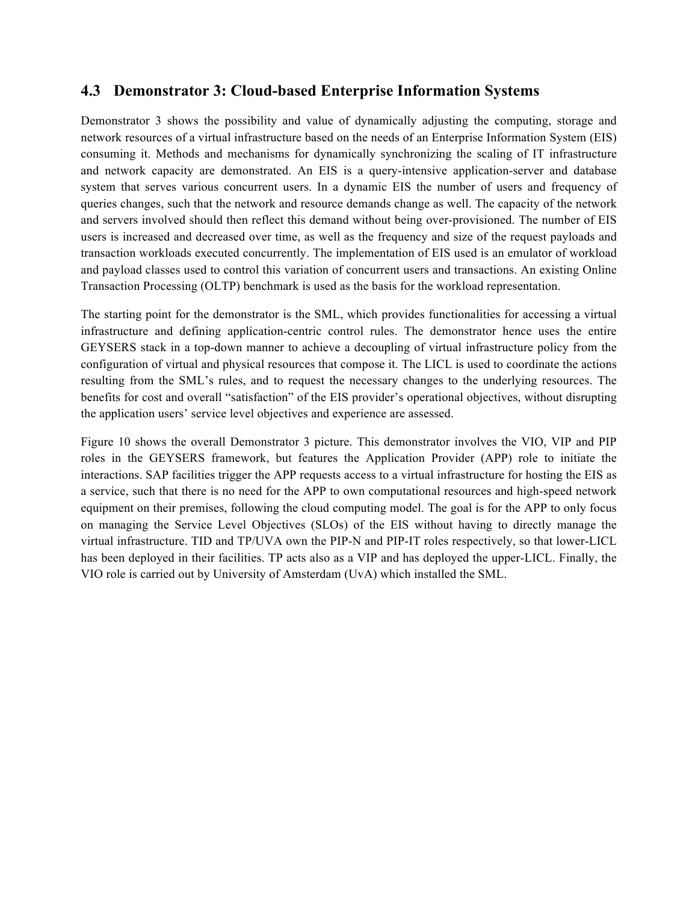## **4.3 Demonstrator 3: Cloud-based Enterprise Information Systems**

Demonstrator 3 shows the possibility and value of dynamically adjusting the computing, storage and network resources of a virtual infrastructure based on the needs of an Enterprise Information System (EIS) consuming it. Methods and mechanisms for dynamically synchronizing the scaling of IT infrastructure and network capacity are demonstrated. An EIS is a query-intensive application-server and database system that serves various concurrent users. In a dynamic EIS the number of users and frequency of queries changes, such that the network and resource demands change as well. The capacity of the network and servers involved should then reflect this demand without being over-provisioned. The number of EIS users is increased and decreased over time, as well as the frequency and size of the request payloads and transaction workloads executed concurrently. The implementation of EIS used is an emulator of workload and payload classes used to control this variation of concurrent users and transactions. An existing Online Transaction Processing (OLTP) benchmark is used as the basis for the workload representation.

The starting point for the demonstrator is the SML, which provides functionalities for accessing a virtual infrastructure and defining application-centric control rules. The demonstrator hence uses the entire GEYSERS stack in a top-down manner to achieve a decoupling of virtual infrastructure policy from the configuration of virtual and physical resources that compose it. The LICL is used to coordinate the actions resulting from the SML's rules, and to request the necessary changes to the underlying resources. The benefits for cost and overall "satisfaction" of the EIS provider's operational objectives, without disrupting the application users' service level objectives and experience are assessed.

Figure 10 shows the overall Demonstrator 3 picture. This demonstrator involves the VIO, VIP and PIP roles in the GEYSERS framework, but features the Application Provider (APP) role to initiate the interactions. SAP facilities trigger the APP requests access to a virtual infrastructure for hosting the EIS as a service, such that there is no need for the APP to own computational resources and high-speed network equipment on their premises, following the cloud computing model. The goal is for the APP to only focus on managing the Service Level Objectives (SLOs) of the EIS without having to directly manage the virtual infrastructure. TID and TP/UVA own the PIP-N and PIP-IT roles respectively, so that lower-LICL has been deployed in their facilities. TP acts also as a VIP and has deployed the upper-LICL. Finally, the VIO role is carried out by University of Amsterdam (UvA) which installed the SML.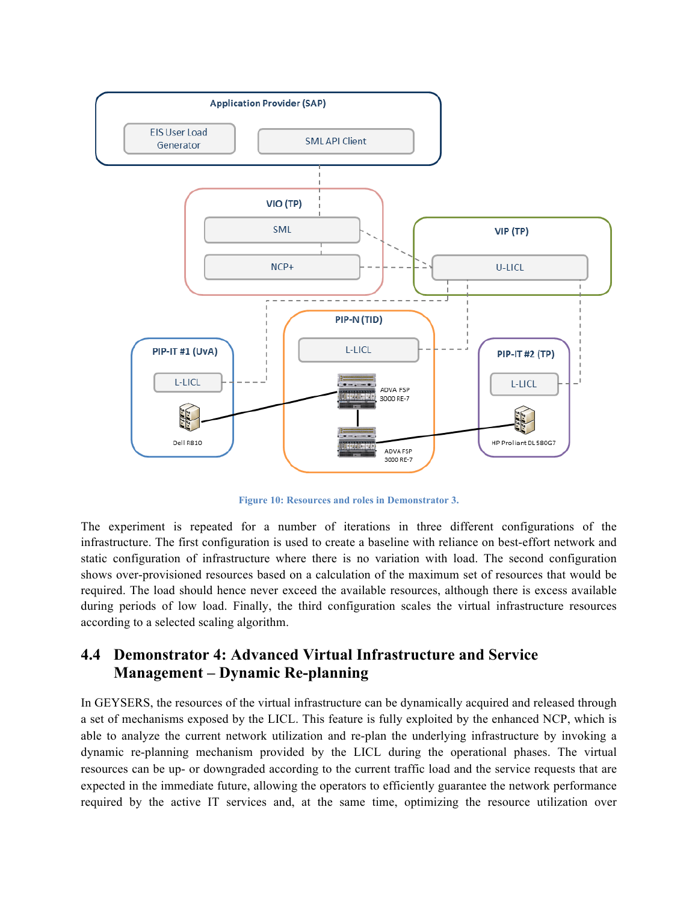

**Figure 10: Resources and roles in Demonstrator 3.**

The experiment is repeated for a number of iterations in three different configurations of the infrastructure. The first configuration is used to create a baseline with reliance on best-effort network and static configuration of infrastructure where there is no variation with load. The second configuration shows over-provisioned resources based on a calculation of the maximum set of resources that would be required. The load should hence never exceed the available resources, although there is excess available during periods of low load. Finally, the third configuration scales the virtual infrastructure resources according to a selected scaling algorithm.

# **4.4 Demonstrator 4: Advanced Virtual Infrastructure and Service Management – Dynamic Re-planning**

In GEYSERS, the resources of the virtual infrastructure can be dynamically acquired and released through a set of mechanisms exposed by the LICL. This feature is fully exploited by the enhanced NCP, which is able to analyze the current network utilization and re-plan the underlying infrastructure by invoking a dynamic re-planning mechanism provided by the LICL during the operational phases. The virtual resources can be up- or downgraded according to the current traffic load and the service requests that are expected in the immediate future, allowing the operators to efficiently guarantee the network performance required by the active IT services and, at the same time, optimizing the resource utilization over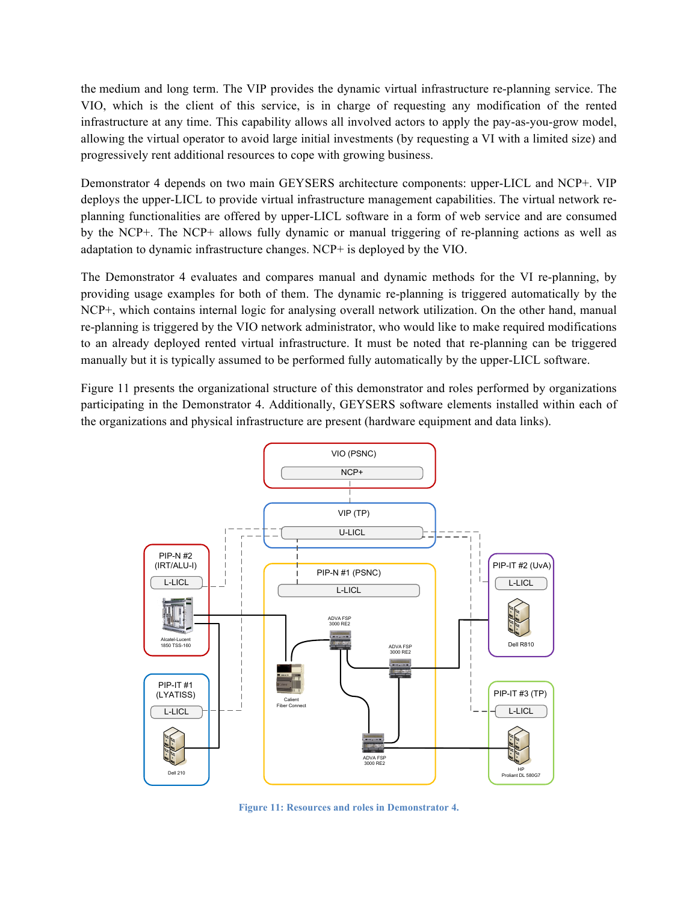the medium and long term. The VIP provides the dynamic virtual infrastructure re-planning service. The VIO, which is the client of this service, is in charge of requesting any modification of the rented infrastructure at any time. This capability allows all involved actors to apply the pay-as-you-grow model, allowing the virtual operator to avoid large initial investments (by requesting a VI with a limited size) and progressively rent additional resources to cope with growing business.

Demonstrator 4 depends on two main GEYSERS architecture components: upper-LICL and NCP+. VIP deploys the upper-LICL to provide virtual infrastructure management capabilities. The virtual network replanning functionalities are offered by upper-LICL software in a form of web service and are consumed by the NCP+. The NCP+ allows fully dynamic or manual triggering of re-planning actions as well as adaptation to dynamic infrastructure changes. NCP+ is deployed by the VIO.

The Demonstrator 4 evaluates and compares manual and dynamic methods for the VI re-planning, by providing usage examples for both of them. The dynamic re-planning is triggered automatically by the NCP+, which contains internal logic for analysing overall network utilization. On the other hand, manual re-planning is triggered by the VIO network administrator, who would like to make required modifications to an already deployed rented virtual infrastructure. It must be noted that re-planning can be triggered manually but it is typically assumed to be performed fully automatically by the upper-LICL software.

Figure 11 presents the organizational structure of this demonstrator and roles performed by organizations participating in the Demonstrator 4. Additionally, GEYSERS software elements installed within each of the organizations and physical infrastructure are present (hardware equipment and data links).



**Figure 11: Resources and roles in Demonstrator 4.**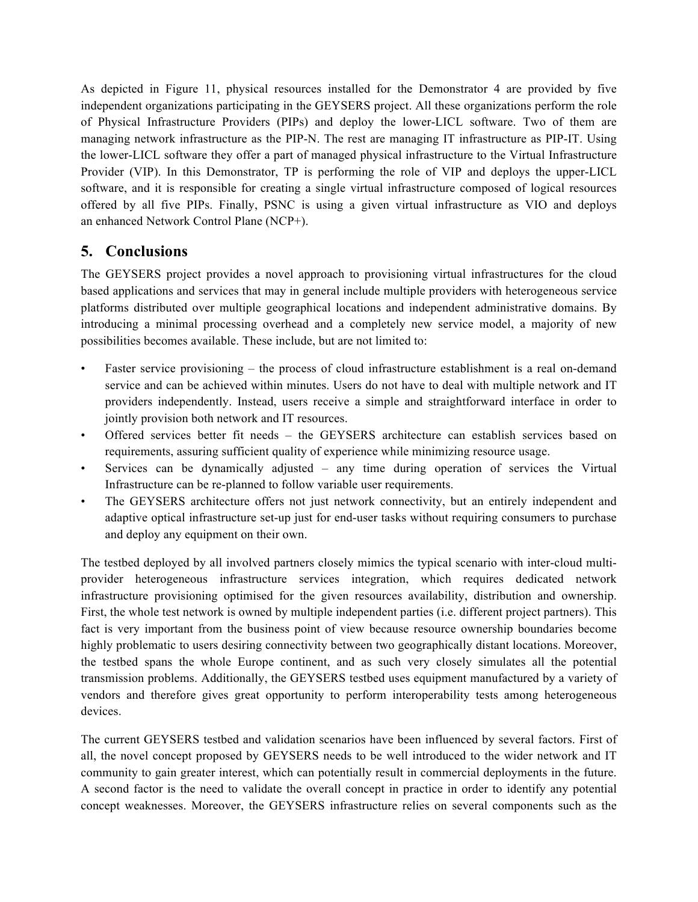As depicted in Figure 11, physical resources installed for the Demonstrator 4 are provided by five independent organizations participating in the GEYSERS project. All these organizations perform the role of Physical Infrastructure Providers (PIPs) and deploy the lower-LICL software. Two of them are managing network infrastructure as the PIP-N. The rest are managing IT infrastructure as PIP-IT. Using the lower-LICL software they offer a part of managed physical infrastructure to the Virtual Infrastructure Provider (VIP). In this Demonstrator, TP is performing the role of VIP and deploys the upper-LICL software, and it is responsible for creating a single virtual infrastructure composed of logical resources offered by all five PIPs. Finally, PSNC is using a given virtual infrastructure as VIO and deploys an enhanced Network Control Plane (NCP+).

# **5. Conclusions**

The GEYSERS project provides a novel approach to provisioning virtual infrastructures for the cloud based applications and services that may in general include multiple providers with heterogeneous service platforms distributed over multiple geographical locations and independent administrative domains. By introducing a minimal processing overhead and a completely new service model, a majority of new possibilities becomes available. These include, but are not limited to:

- Faster service provisioning the process of cloud infrastructure establishment is a real on-demand service and can be achieved within minutes. Users do not have to deal with multiple network and IT providers independently. Instead, users receive a simple and straightforward interface in order to jointly provision both network and IT resources.
- Offered services better fit needs the GEYSERS architecture can establish services based on requirements, assuring sufficient quality of experience while minimizing resource usage.
- Services can be dynamically adjusted any time during operation of services the Virtual Infrastructure can be re-planned to follow variable user requirements.
- The GEYSERS architecture offers not just network connectivity, but an entirely independent and adaptive optical infrastructure set-up just for end-user tasks without requiring consumers to purchase and deploy any equipment on their own.

The testbed deployed by all involved partners closely mimics the typical scenario with inter-cloud multiprovider heterogeneous infrastructure services integration, which requires dedicated network infrastructure provisioning optimised for the given resources availability, distribution and ownership. First, the whole test network is owned by multiple independent parties (i.e. different project partners). This fact is very important from the business point of view because resource ownership boundaries become highly problematic to users desiring connectivity between two geographically distant locations. Moreover, the testbed spans the whole Europe continent, and as such very closely simulates all the potential transmission problems. Additionally, the GEYSERS testbed uses equipment manufactured by a variety of vendors and therefore gives great opportunity to perform interoperability tests among heterogeneous devices.

The current GEYSERS testbed and validation scenarios have been influenced by several factors. First of all, the novel concept proposed by GEYSERS needs to be well introduced to the wider network and IT community to gain greater interest, which can potentially result in commercial deployments in the future. A second factor is the need to validate the overall concept in practice in order to identify any potential concept weaknesses. Moreover, the GEYSERS infrastructure relies on several components such as the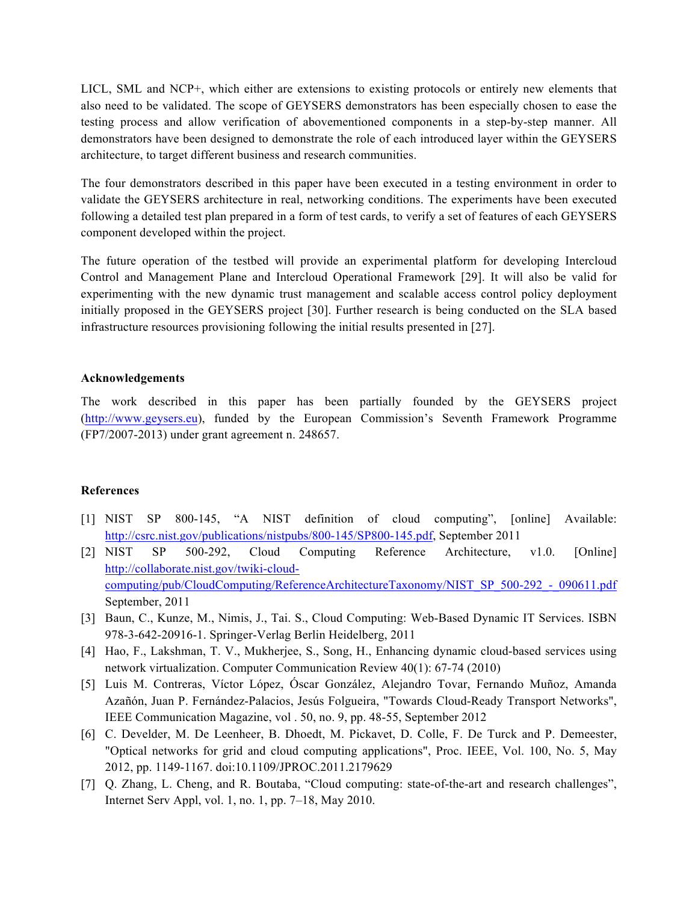LICL, SML and NCP+, which either are extensions to existing protocols or entirely new elements that also need to be validated. The scope of GEYSERS demonstrators has been especially chosen to ease the testing process and allow verification of abovementioned components in a step-by-step manner. All demonstrators have been designed to demonstrate the role of each introduced layer within the GEYSERS architecture, to target different business and research communities.

The four demonstrators described in this paper have been executed in a testing environment in order to validate the GEYSERS architecture in real, networking conditions. The experiments have been executed following a detailed test plan prepared in a form of test cards, to verify a set of features of each GEYSERS component developed within the project.

The future operation of the testbed will provide an experimental platform for developing Intercloud Control and Management Plane and Intercloud Operational Framework [29]. It will also be valid for experimenting with the new dynamic trust management and scalable access control policy deployment initially proposed in the GEYSERS project [30]. Further research is being conducted on the SLA based infrastructure resources provisioning following the initial results presented in [27].

#### **Acknowledgements**

The work described in this paper has been partially founded by the GEYSERS project (http://www.geysers.eu), funded by the European Commission's Seventh Framework Programme (FP7/2007-2013) under grant agreement n. 248657.

#### **References**

- [1] NIST SP 800-145, "A NIST definition of cloud computing", [online] Available: http://csrc.nist.gov/publications/nistpubs/800-145/SP800-145.pdf, September 2011
- [2] NIST SP 500-292, Cloud Computing Reference Architecture, v1.0. [Online] http://collaborate.nist.gov/twiki-cloudcomputing/pub/CloudComputing/ReferenceArchitectureTaxonomy/NIST\_SP\_500-292\_-\_090611.pdf September, 2011
- [3] Baun, C., Kunze, M., Nimis, J., Tai. S., Cloud Computing: Web-Based Dynamic IT Services. ISBN 978-3-642-20916-1. Springer-Verlag Berlin Heidelberg, 2011
- [4] Hao, F., Lakshman, T. V., Mukherjee, S., Song, H., Enhancing dynamic cloud-based services using network virtualization. Computer Communication Review 40(1): 67-74 (2010)
- [5] Luis M. Contreras, Víctor López, Óscar González, Alejandro Tovar, Fernando Muñoz, Amanda Azañón, Juan P. Fernández-Palacios, Jesús Folgueira, "Towards Cloud-Ready Transport Networks", IEEE Communication Magazine, vol . 50, no. 9, pp. 48-55, September 2012
- [6] C. Develder, M. De Leenheer, B. Dhoedt, M. Pickavet, D. Colle, F. De Turck and P. Demeester, "Optical networks for grid and cloud computing applications", Proc. IEEE, Vol. 100, No. 5, May 2012, pp. 1149-1167. doi:10.1109/JPROC.2011.2179629
- [7] O. Zhang, L. Cheng, and R. Boutaba, "Cloud computing: state-of-the-art and research challenges", Internet Serv Appl, vol. 1, no. 1, pp. 7–18, May 2010.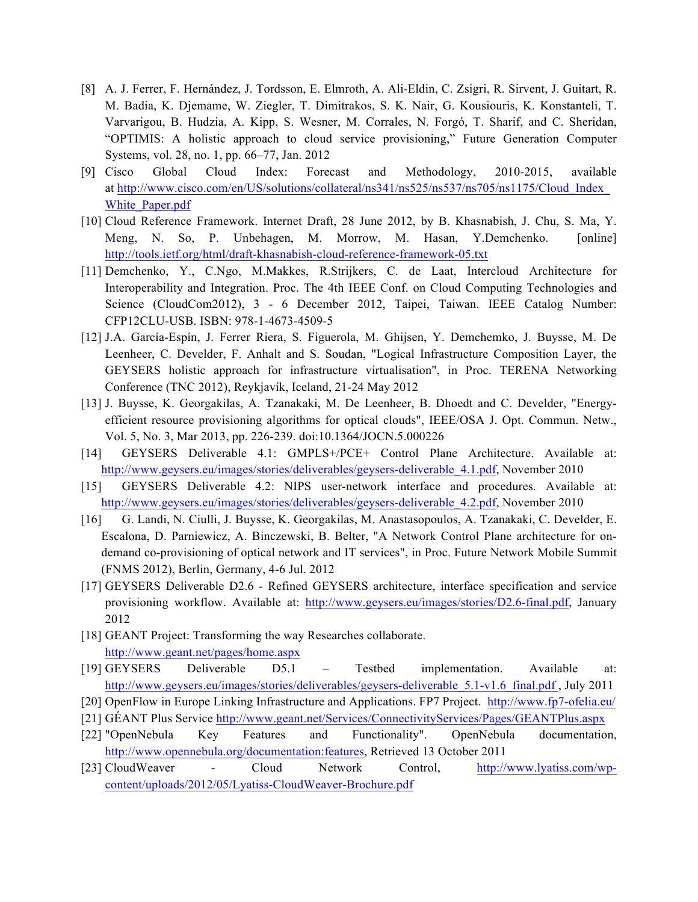- [8] A. J. Ferrer, F. Hernández, J. Tordsson, E. Elmroth, A. Ali-Eldin, C. Zsigri, R. Sirvent, J. Guitart, R. M. Badia, K. Djemame, W. Ziegler, T. Dimitrakos, S. K. Nair, G. Kousiouris, K. Konstanteli, T. Varvarigou, B. Hudzia, A. Kipp, S. Wesner, M. Corrales, N. Forgó, T. Sharif, and C. Sheridan, "OPTIMIS: A holistic approach to cloud service provisioning," Future Generation Computer Systems, vol. 28, no. 1, pp. 66–77, Jan. 2012
- [9] Cisco Global Cloud Index: Forecast and Methodology, 2010-2015, available at http://www.cisco.com/en/US/solutions/collateral/ns341/ns525/ns537/ns705/ns1175/Cloud\_Index\_ White\_Paper.pdf
- [10] Cloud Reference Framework. Internet Draft, 28 June 2012, by B. Khasnabish, J. Chu, S. Ma, Y. Meng, N. So, P. Unbehagen, M. Morrow, M. Hasan, Y.Demchenko. [online] http://tools.ietf.org/html/draft-khasnabish-cloud-reference-framework-05.txt
- [11] Demchenko, Y., C.Ngo, M.Makkes, R.Strijkers, C. de Laat, Intercloud Architecture for Interoperability and Integration. Proc. The 4th IEEE Conf. on Cloud Computing Technologies and Science (CloudCom2012), 3 - 6 December 2012, Taipei, Taiwan. IEEE Catalog Number: CFP12CLU-USB. ISBN: 978-1-4673-4509-5
- [12] J.A. García-Espín, J. Ferrer Riera, S. Figuerola, M. Ghijsen, Y. Demchemko, J. Buysse, M. De Leenheer, C. Develder, F. Anhalt and S. Soudan, "Logical Infrastructure Composition Layer, the GEYSERS holistic approach for infrastructure virtualisation", in Proc. TERENA Networking Conference (TNC 2012), Reykjavík, Iceland, 21-24 May 2012
- [13] J. Buysse, K. Georgakilas, A. Tzanakaki, M. De Leenheer, B. Dhoedt and C. Develder, "Energyefficient resource provisioning algorithms for optical clouds", IEEE/OSA J. Opt. Commun. Netw., Vol. 5, No. 3, Mar 2013, pp. 226-239. doi:10.1364/JOCN.5.000226
- [14] GEYSERS Deliverable 4.1: GMPLS+/PCE+ Control Plane Architecture. Available at: http://www.geysers.eu/images/stories/deliverables/geysers-deliverable\_4.1.pdf, November 2010
- [15] GEYSERS Deliverable 4.2: NIPS user-network interface and procedures. Available at: http://www.geysers.eu/images/stories/deliverables/geysers-deliverable\_4.2.pdf, November 2010
- [16] G. Landi, N. Ciulli, J. Buysse, K. Georgakilas, M. Anastasopoulos, A. Tzanakaki, C. Develder, E. Escalona, D. Parniewicz, A. Binczewski, B. Belter, "A Network Control Plane architecture for ondemand co-provisioning of optical network and IT services", in Proc. Future Network Mobile Summit (FNMS 2012), Berlin, Germany, 4-6 Jul. 2012
- [17] GEYSERS Deliverable D2.6 Refined GEYSERS architecture, interface specification and service provisioning workflow. Available at: http://www.geysers.eu/images/stories/D2.6-final.pdf, January 2012
- [18] GEANT Project: Transforming the way Researches collaborate. http://www.geant.net/pages/home.aspx
- [19] GEYSERS Deliverable D5.1 Testbed implementation. Available at: http://www.geysers.eu/images/stories/deliverables/geysers-deliverable\_5.1-v1.6\_final.pdf , July 2011
- [20] OpenFlow in Europe Linking Infrastructure and Applications. FP7 Project. http://www.fp7-ofelia.eu/
- [21] GÉANT Plus Service http://www.geant.net/Services/ConnectivityServices/Pages/GEANTPlus.aspx
- [22] "OpenNebula Key Features and Functionality". OpenNebula documentation, http://www.opennebula.org/documentation:features, Retrieved 13 October 2011
- [23] CloudWeaver Cloud Network Control, http://www.lyatiss.com/wpcontent/uploads/2012/05/Lyatiss-CloudWeaver-Brochure.pdf